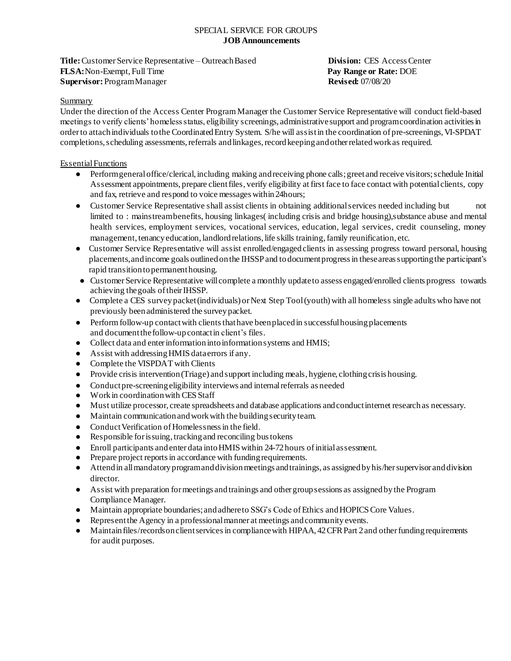#### SPECIAL SERVICE FOR GROUPS **JOB Announcements**

**Title:** Customer Service Representative – Outreach Based **Division:** CES Access Center **FLSA:**Non-Exempt, Full Time **Pay Range or Rate:** DOE **Supervisor:** ProgramManager **Revised:** 07/08/20

## Summary

Under the direction of the Access Center Program Manager the Customer Service Representative will conduct field-based meetings to verify clients' homeless status, eligibility screenings, administrativesupport and programcoordination activitiesin order to attach individuals to the Coordinated Entry System. S/he will assist in the coordination of pre-screenings, VI-SPDAT completions, scheduling assessments, referrals and linkages, record keeping and other related work as required.

## Essential Functions

- Performgeneraloffice/clerical, including making andreceiving phone calls;greetand receive visitors; schedule Initial Assessment appointments, prepare clientfiles, verify eligibility at first face to face contact with potential clients, copy and fax, retrieve and respond to voice messages within24hours;
- Customer Service Representative shall assist clients in obtaining additionalservices needed including but not limited to : mainstreambenefits, housing linkages( including crisis and bridge housing),substance abuse and mental health services, employment services, vocational services, education, legal services, credit counseling, money management, tenancy education, landlord relations, life skills training, family reunification, etc.
- Customer Service Representative will assist enrolled/engaged clients in assessing progress toward personal, housing placements,andincome goals outlinedon the IHSSP and todocumentprogressin theseareassupporting the participant's rapid transition topermanenthousing.
- Customer Service Representative willcomplete a monthly updateto assess engaged/enrolled clients progress towards achieving thegoals of theirIHSSP.
- Complete a CES survey packet (individuals) or Next Step Tool(youth) with all homeless single adults who have not previously beenadministered the surveypacket.
- Perform follow-up contact with clients that have been placed in successful housing placements and documentthefollow-upcontactin client's files.
- Collect data and enter information into information systems and HMIS;
- Assist with addressingHMIS dataerrors if any.
- Complete the VISPDAT with Clients
- Provide crisis intervention (Triage) and support including meals, hygiene, clothing crisis housing.
- Conduct pre-screening eligibility interviews and internal referrals as needed
- Workin coordinationwith CES Staff
- Must utilize processor, create spreadsheets and database applications andconductinternet researchas necessary.
- Maintain communicationandwork with the building securityteam.
- Conduct Verification of Homelessness in the field.
- Responsible for issuing, trackingand reconciling bus tokens
- Enroll participants andenter data intoHMIS within 24-72 hours of initial assessment.
- Prepare project reports in accordance with funding requirements.
- Attend in all mandatory program and division meetings and trainings, as assigned by his/her supervisor and division director.
- Assist with preparation for meetings andtrainings and other group sessions as assignedby the Program Compliance Manager.
- Maintain appropriate boundaries; and adhere to SSG's Code of Ethics and HOPICS Core Values.
- Representthe Agency in a professionalmanner at meetings andcommunity events.
- Maintain files/records on client services in compliance with HIPAA, 42 CFR Part 2 and other funding requirements for audit purposes.